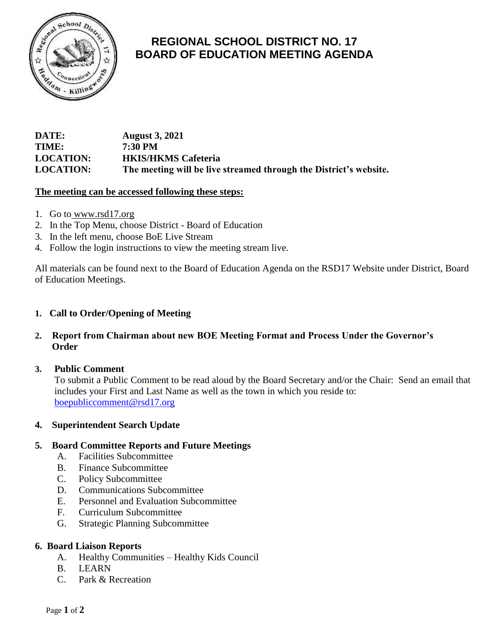

# **REGIONAL SCHOOL DISTRICT NO. 17 BOARD OF EDUCATION MEETING AGENDA**

## **DATE: August 3, 2021 TIME: 7:30 PM LOCATION: HKIS/HKMS Cafeteria LOCATION: The meeting will be live streamed through the District's website.**

#### **The meeting can be accessed following these steps:**

- 1. Go to [www.rsd17.org](http://www.rsd17.org/)
- 2. In the Top Menu, choose District Board of Education
- 3. In the left menu, choose BoE Live Stream
- 4. Follow the login instructions to view the meeting stream live.

All materials can be found next to the Board of Education Agenda on the RSD17 Website under District, Board of Education Meetings.

#### **1. Call to Order/Opening of Meeting**

## **2. Report from Chairman about new BOE Meeting Format and Process Under the Governor's Order**

#### **3. Public Comment**

 To submit a Public Comment to be read aloud by the Board Secretary and/or the Chair: Send an email that includes your First and Last Name as well as the town in which you reside to: [boepubliccomment@rsd17.org](mailto:boepubliccomment@rsd17.org)

#### **4. Superintendent Search Update**

#### **5. Board Committee Reports and Future Meetings**

- A. Facilities Subcommittee
- B. Finance Subcommittee
- C. Policy Subcommittee
- D. Communications Subcommittee
- E. Personnel and Evaluation Subcommittee
- F. Curriculum Subcommittee
- G. Strategic Planning Subcommittee

#### **6. Board Liaison Reports**

- A. Healthy Communities Healthy Kids Council
- B. LEARN
- C. Park & Recreation